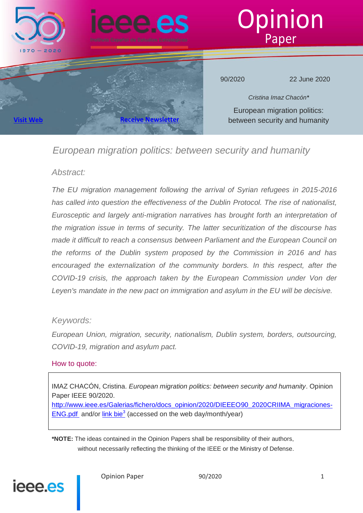

# *European migration politics: between security and humanity*

# *Abstract:*

*The EU migration management following the arrival of Syrian refugees in 2015-2016 has called into question the effectiveness of the Dublin Protocol. The rise of nationalist, Eurosceptic and largely anti-migration narratives has brought forth an interpretation of the migration issue in terms of security. The latter securitization of the discourse has made it difficult to reach a consensus between Parliament and the European Council on the reforms of the Dublin system proposed by the Commission in 2016 and has encouraged the externalization of the community borders. In this respect, after the COVID-19 crisis, the approach taken by the European Commission under Von der Leyen's mandate in the new pact on immigration and asylum in the EU will be decisive.*

# *Keywords:*

*European Union, migration, security, nationalism, Dublin system, borders, outsourcing, COVID-19, migration and asylum pact.*

# How to quote:

IMAZ CHACÓN, Cristina. *European migration politics: between security and humanity*. Opinion Paper IEEE 90/2020.

[http://www.ieee.es/Galerias/fichero/docs\\_opinion/2020/DIEEEO90\\_2020CRIIMA\\_migraciones-](http://www.ieee.es/Galerias/fichero/docs_opinion/2020/DIEEEO90_2020CRIIMA_migraciones-ENG.pdf)[ENG.pdf](http://www.ieee.es/Galerias/fichero/docs_opinion/2020/DIEEEO90_2020CRIIMA_migraciones-ENG.pdf) and/or link bie<sup>3</sup> (accessed on the web day/month/year)

**\*NOTE:** The ideas contained in the Opinion Papers shall be responsibility of their authors, without necessarily reflecting the thinking of the IEEE or the Ministry of Defense.

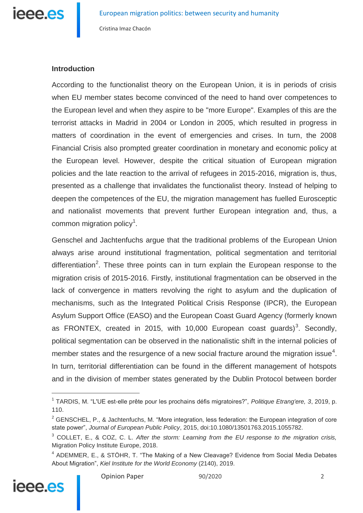

## **Introduction**

According to the functionalist theory on the European Union, it is in periods of crisis when EU member states become convinced of the need to hand over competences to the European level and when they aspire to be "more Europe". Examples of this are the terrorist attacks in Madrid in 2004 or London in 2005, which resulted in progress in matters of coordination in the event of emergencies and crises. In turn, the 2008 Financial Crisis also prompted greater coordination in monetary and economic policy at the European level. However, despite the critical situation of European migration policies and the late reaction to the arrival of refugees in 2015-2016, migration is, thus, presented as a challenge that invalidates the functionalist theory. Instead of helping to deepen the competences of the EU, the migration management has fuelled Eurosceptic and nationalist movements that prevent further European integration and, thus, a common migration policy<sup>1</sup>.

Genschel and Jachtenfuchs argue that the traditional problems of the European Union always arise around institutional fragmentation, political segmentation and territorial differentiation<sup>2</sup>. These three points can in turn explain the European response to the migration crisis of 2015-2016. Firstly, institutional fragmentation can be observed in the lack of convergence in matters revolving the right to asylum and the duplication of mechanisms, such as the Integrated Political Crisis Response (IPCR), the European Asylum Support Office (EASO) and the European Coast Guard Agency (formerly known as FRONTEX, created in 2015, with 10,000 European coast guards)<sup>3</sup>. Secondly, political segmentation can be observed in the nationalistic shift in the internal policies of member states and the resurgence of a new social fracture around the migration issue<sup>4</sup>. In turn, territorial differentiation can be found in the different management of hotspots and in the division of member states generated by the Dublin Protocol between border

<sup>4</sup> ADEMMER, E., & STÖHR, T. "The Making of a New Cleavage? Evidence from Social Media Debates About Migration", *Kiel Institute for the World Economy* (2140), 2019.



<sup>1</sup> TARDIS, M. "L'UE est-elle prête pour les prochains défis migratoires?", *Politique Etrang'ere, 3*, 2019, p. 110.

<sup>&</sup>lt;sup>2</sup> GENSCHEL, P., & Jachtenfuchs, M. "More integration, less federation: the European integration of core state power", *Journal of European Public Policy*, 2015, doi:10.1080/13501763.2015.1055782.

<sup>3</sup> COLLET, E., & COZ, C. L. *After the storm: Learning from the EU response to the migration crisis,*  Migration Policy Institute Europe, 2018.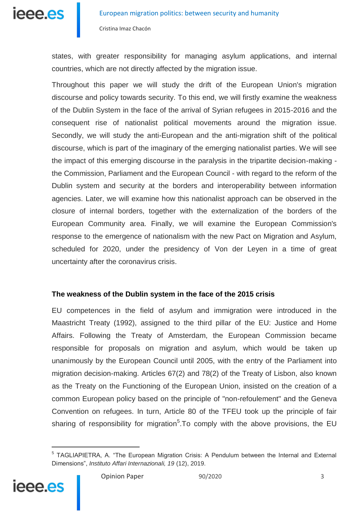

states, with greater responsibility for managing asylum applications, and internal countries, which are not directly affected by the migration issue.

Throughout this paper we will study the drift of the European Union's migration discourse and policy towards security. To this end, we will firstly examine the weakness of the Dublin System in the face of the arrival of Syrian refugees in 2015-2016 and the consequent rise of nationalist political movements around the migration issue. Secondly, we will study the anti-European and the anti-migration shift of the political discourse, which is part of the imaginary of the emerging nationalist parties. We will see the impact of this emerging discourse in the paralysis in the tripartite decision-making the Commission, Parliament and the European Council - with regard to the reform of the Dublin system and security at the borders and interoperability between information agencies. Later, we will examine how this nationalist approach can be observed in the closure of internal borders, together with the externalization of the borders of the European Community area. Finally, we will examine the European Commission's response to the emergence of nationalism with the new Pact on Migration and Asylum, scheduled for 2020, under the presidency of Von der Leyen in a time of great uncertainty after the coronavirus crisis.

#### **The weakness of the Dublin system in the face of the 2015 crisis**

EU competences in the field of asylum and immigration were introduced in the Maastricht Treaty (1992), assigned to the third pillar of the EU: Justice and Home Affairs. Following the Treaty of Amsterdam, the European Commission became responsible for proposals on migration and asylum, which would be taken up unanimously by the European Council until 2005, with the entry of the Parliament into migration decision-making. Articles 67(2) and 78(2) of the Treaty of Lisbon, also known as the Treaty on the Functioning of the European Union, insisted on the creation of a common European policy based on the principle of "non-refoulement" and the Geneva Convention on refugees. In turn, Article 80 of the TFEU took up the principle of fair sharing of responsibility for migration<sup>5</sup>. To comply with the above provisions, the EU

<sup>&</sup>lt;sup>5</sup> TAGLIAPIETRA, A. "The European Migration Crisis: A Pendulum between the Internal and External Dimensions", *Instituto Affari Internazionali, 19* (12), 2019.

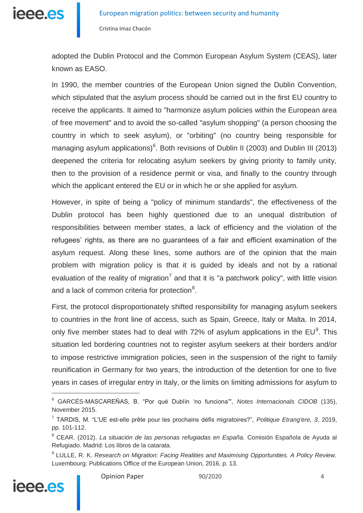

adopted the Dublin Protocol and the Common European Asylum System (CEAS), later known as EASO.

In 1990, the member countries of the European Union signed the Dublin Convention, which stipulated that the asylum process should be carried out in the first EU country to receive the applicants. It aimed to "harmonize asylum policies within the European area of free movement" and to avoid the so-called "asylum shopping" (a person choosing the country in which to seek asylum), or "orbiting" (no country being responsible for managing asylum applications) $6$ . Both revisions of Dublin II (2003) and Dublin III (2013) deepened the criteria for relocating asylum seekers by giving priority to family unity, then to the provision of a residence permit or visa, and finally to the country through which the applicant entered the EU or in which he or she applied for asylum.

However, in spite of being a "policy of minimum standards", the effectiveness of the Dublin protocol has been highly questioned due to an unequal distribution of responsibilities between member states, a lack of efficiency and the violation of the refugees' rights, as there are no guarantees of a fair and efficient examination of the asylum request. Along these lines, some authors are of the opinion that the main problem with migration policy is that it is guided by ideals and not by a rational evaluation of the reality of migration<sup>7</sup> and that it is "a patchwork policy", with little vision and a lack of common criteria for protection $8$ .

First, the protocol disproportionately shifted responsibility for managing asylum seekers to countries in the front line of access, such as Spain, Greece, Italy or Malta. In 2014, only five member states had to deal with 72% of asylum applications in the  $EU^9$ . This situation led bordering countries not to register asylum seekers at their borders and/or to impose restrictive immigration policies, seen in the suspension of the right to family reunification in Germany for two years, the introduction of the detention for one to five years in cases of irregular entry in Italy, or the limits on limiting admissions for asylum to

<sup>9</sup> LULLE, R. K. *Research on Migration: Facing Realities and Maximising Opportunities. A Policy Review.* Luxembourg: Publications Office of the European Union, 2016, p. 13.



<sup>6</sup> GARCÉS-MASCAREÑAS, B. "Por qué Dublín 'no funciona'", *Notes Internacionals CIDOB* (135), November 2015.

<sup>7</sup> TARDIS, M. "L'UE est-elle prête pour les prochains défis migratoires?", *Politique Etrang'ere, 3*, 2019, pp. 101-112.

<sup>8</sup> CEAR. (2012). *La situación de las personas refugiadas en España.* Comisión Española de Ayuda al Refugiado. Madrid: Los libros de la catarata.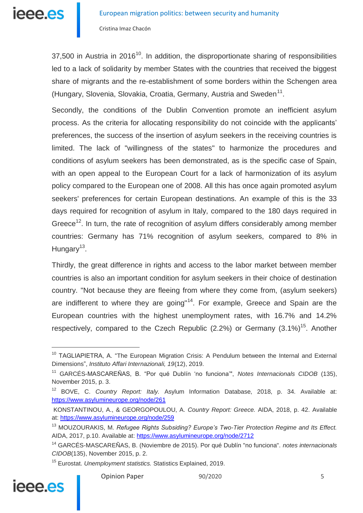$37.500$  in Austria in  $2016<sup>10</sup>$ . In addition, the disproportionate sharing of responsibilities led to a lack of solidarity by member States with the countries that received the biggest share of migrants and the re-establishment of some borders within the Schengen area (Hungary, Slovenia, Slovakia, Croatia, Germany, Austria and Sweden<sup>11</sup>.

Secondly, the conditions of the Dublin Convention promote an inefficient asylum process. As the criteria for allocating responsibility do not coincide with the applicants' preferences, the success of the insertion of asylum seekers in the receiving countries is limited. The lack of "willingness of the states" to harmonize the procedures and conditions of asylum seekers has been demonstrated, as is the specific case of Spain, with an open appeal to the European Court for a lack of harmonization of its asylum policy compared to the European one of 2008. All this has once again promoted asylum seekers' preferences for certain European destinations. An example of this is the 33 days required for recognition of asylum in Italy, compared to the 180 days required in Greece<sup>12</sup>. In turn, the rate of recognition of asylum differs considerably among member countries: Germany has 71% recognition of asylum seekers, compared to 8% in Hungary<sup>13</sup>.

Thirdly, the great difference in rights and access to the labor market between member countries is also an important condition for asylum seekers in their choice of destination country. "Not because they are fleeing from where they come from, (asylum seekers) are indifferent to where they are going"<sup>14</sup>. For example, Greece and Spain are the European countries with the highest unemployment rates, with 16.7% and 14.2% respectively, compared to the Czech Republic (2.2%) or Germany  $(3.1\%)^{15}$ . Another

<sup>15</sup> Eurostat. *Unemployment statistics.* Statistics Explained, 2019.



<sup>&</sup>lt;sup>10</sup> TAGLIAPIETRA, A. "The European Migration Crisis: A Pendulum between the Internal and External Dimensions", *Instituto Affari Internazionali, 19*(12), 2019.

<sup>11</sup> GARCÉS-MASCAREÑAS, B. "Por qué Dublín 'no funciona'", *Notes Internacionals CIDOB* (135), November 2015, p. 3.

<sup>12</sup> BOVE, C. *Country Report: Italy.* Asylum Information Database, 2018, p. 34. Available at: <https://www.asylumineurope.org/node/261>

KONSTANTINOU, A., & GEORGOPOULOU, A. *Country Report: Greece.* AIDA, 2018, p. 42. Available at:<https://www.asylumineurope.org/node/259>

<sup>13</sup> MOUZOURAKIS, M. *Refugee Rights Subsiding? Europe's Two-Tier Protection Regime and Its Effect.* AIDA, 2017, p.10. Available at:<https://www.asylumineurope.org/node/2712>

<sup>14</sup> GARCÉS-MASCAREÑAS, B. (Noviembre de 2015). Por qué Dublín "no funciona". *notes internacionals CIDOB*(135), November 2015, p. 2.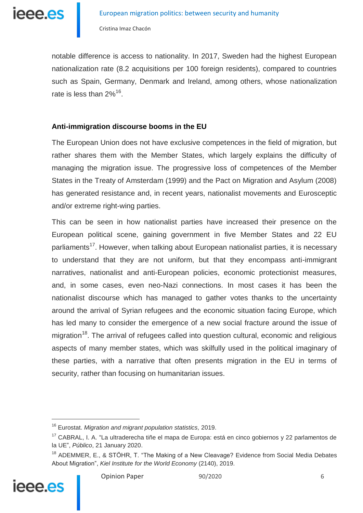

notable difference is access to nationality. In 2017, Sweden had the highest European nationalization rate (8.2 acquisitions per 100 foreign residents), compared to countries such as Spain, Germany, Denmark and Ireland, among others, whose nationalization rate is less than 2%<sup>16</sup>.

### **Anti-immigration discourse booms in the EU**

The European Union does not have exclusive competences in the field of migration, but rather shares them with the Member States, which largely explains the difficulty of managing the migration issue. The progressive loss of competences of the Member States in the Treaty of Amsterdam (1999) and the Pact on Migration and Asylum (2008) has generated resistance and, in recent years, nationalist movements and Eurosceptic and/or extreme right-wing parties.

This can be seen in how nationalist parties have increased their presence on the European political scene, gaining government in five Member States and 22 EU parliaments<sup>17</sup>. However, when talking about European nationalist parties, it is necessary to understand that they are not uniform, but that they encompass anti-immigrant narratives, nationalist and anti-European policies, economic protectionist measures, and, in some cases, even neo-Nazi connections. In most cases it has been the nationalist discourse which has managed to gather votes thanks to the uncertainty around the arrival of Syrian refugees and the economic situation facing Europe, which has led many to consider the emergence of a new social fracture around the issue of migration<sup>18</sup>. The arrival of refugees called into question cultural, economic and religious aspects of many member states, which was skilfully used in the political imaginary of these parties, with a narrative that often presents migration in the EU in terms of security, rather than focusing on humanitarian issues.

<sup>&</sup>lt;sup>18</sup> ADEMMER, E., & STÖHR, T. "The Making of a New Cleavage? Evidence from Social Media Debates About Migration", *Kiel Institute for the World Economy* (2140), 2019.



<sup>16</sup> Eurostat. *Migration and migrant population statistics,* 2019.

<sup>&</sup>lt;sup>17</sup> CABRAL, I. A. "La ultraderecha tiñe el mapa de Europa: está en cinco gobiernos y 22 parlamentos de la UE", *Público*, 21 January 2020.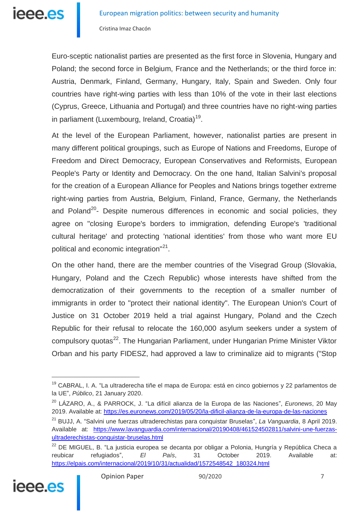Euro-sceptic nationalist parties are presented as the first force in Slovenia, Hungary and Poland; the second force in Belgium, France and the Netherlands; or the third force in: Austria, Denmark, Finland, Germany, Hungary, Italy, Spain and Sweden. Only four countries have right-wing parties with less than 10% of the vote in their last elections (Cyprus, Greece, Lithuania and Portugal) and three countries have no right-wing parties in parliament (Luxembourg, Ireland, Croatia)<sup>19</sup>.

At the level of the European Parliament, however, nationalist parties are present in many different political groupings, such as Europe of Nations and Freedoms, Europe of Freedom and Direct Democracy, European Conservatives and Reformists, European People's Party or Identity and Democracy. On the one hand, Italian Salvini's proposal for the creation of a European Alliance for Peoples and Nations brings together extreme right-wing parties from Austria, Belgium, Finland, France, Germany, the Netherlands and Poland<sup>20</sup>- Despite numerous differences in economic and social policies, they agree on "closing Europe's borders to immigration, defending Europe's 'traditional cultural heritage' and protecting 'national identities' from those who want more EU political and economic integration"<sup>21</sup>.

On the other hand, there are the member countries of the Visegrad Group (Slovakia, Hungary, Poland and the Czech Republic) whose interests have shifted from the democratization of their governments to the reception of a smaller number of immigrants in order to "protect their national identity". The European Union's Court of Justice on 31 October 2019 held a trial against Hungary, Poland and the Czech Republic for their refusal to relocate the 160,000 asylum seekers under a system of compulsory quotas<sup>22</sup>. The Hungarian Parliament, under Hungarian Prime Minister Viktor Orban and his party FIDESZ, had approved a law to criminalize aid to migrants ("Stop

<sup>&</sup>lt;sup>22</sup> DE MIGUEL, B. "La justicia europea se decanta por obligar a Polonia, Hungría y República Checa a reubicar refugiados", *El País*, 31 October 2019. Available at: [https://elpais.com/internacional/2019/10/31/actualidad/1572548542\\_180324.html](https://elpais.com/internacional/2019/10/31/actualidad/1572548542_180324.html)



<sup>&</sup>lt;sup>19</sup> CABRAL. I. A. "La ultraderecha tiñe el mapa de Europa: está en cinco gobiernos y 22 parlamentos de la UE", *Público*, 21 January 2020.

<sup>20</sup> LÁZARO, A., & PARROCK, J. "La difícil alianza de la Europa de las Naciones", *Euronews*, 20 May 2019. Available at:<https://es.euronews.com/2019/05/20/la-dificil-alianza-de-la-europa-de-las-naciones>

<sup>21</sup> BUJJ, A. "Salvini une fuerzas ultraderechistas para conquistar Bruselas", *La Vanguardia*, 8 April 2019. Available at: [https://www.lavanguardia.com/internacional/20190408/461524502811/salvini-une-fuerzas](https://www.lavanguardia.com/internacional/20190408/461524502811/salvini-une-fuerzas-ultraderechistas-conquistar-bruselas.html)[ultraderechistas-conquistar-bruselas.html](https://www.lavanguardia.com/internacional/20190408/461524502811/salvini-une-fuerzas-ultraderechistas-conquistar-bruselas.html)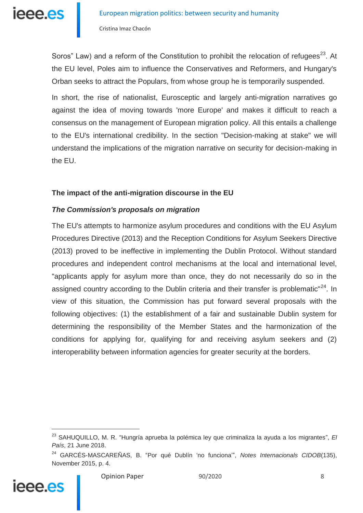

Soros" Law) and a reform of the Constitution to prohibit the relocation of refugees<sup>23</sup>. At the EU level, Poles aim to influence the Conservatives and Reformers, and Hungary's Orban seeks to attract the Populars, from whose group he is temporarily suspended.

In short, the rise of nationalist, Eurosceptic and largely anti-migration narratives go against the idea of moving towards 'more Europe' and makes it difficult to reach a consensus on the management of European migration policy. All this entails a challenge to the EU's international credibility. In the section "Decision-making at stake" we will understand the implications of the migration narrative on security for decision-making in the EU.

### **The impact of the anti-migration discourse in the EU**

### *The Commission's proposals on migration*

The EU's attempts to harmonize asylum procedures and conditions with the EU Asylum Procedures Directive (2013) and the Reception Conditions for Asylum Seekers Directive (2013) proved to be ineffective in implementing the Dublin Protocol. Without standard procedures and independent control mechanisms at the local and international level, "applicants apply for asylum more than once, they do not necessarily do so in the assigned country according to the Dublin criteria and their transfer is problematic<sup>"24</sup>. In view of this situation, the Commission has put forward several proposals with the following objectives: (1) the establishment of a fair and sustainable Dublin system for determining the responsibility of the Member States and the harmonization of the conditions for applying for, qualifying for and receiving asylum seekers and (2) interoperability between information agencies for greater security at the borders.

<sup>24</sup> GARCÉS-MASCAREÑAS, B. "Por qué Dublín 'no funciona'", *Notes Internacionals CIDOB*(135), November 2015, p. 4.



<sup>23</sup> SAHUQUILLO, M. R. "Hungría aprueba la polémica ley que criminaliza la ayuda a los migrantes", *El País*, 21 June 2018.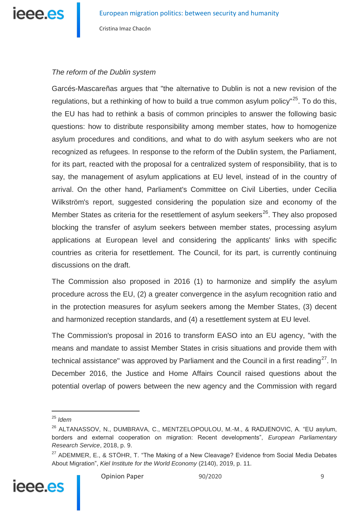

## *The reform of the Dublin system*

Garcés-Mascareñas argues that "the alternative to Dublin is not a new revision of the regulations, but a rethinking of how to build a true common asylum policy<sup>"25</sup>. To do this, the EU has had to rethink a basis of common principles to answer the following basic questions: how to distribute responsibility among member states, how to homogenize asylum procedures and conditions, and what to do with asylum seekers who are not recognized as refugees. In response to the reform of the Dublin system, the Parliament, for its part, reacted with the proposal for a centralized system of responsibility, that is to say, the management of asylum applications at EU level, instead of in the country of arrival. On the other hand, Parliament's Committee on Civil Liberties, under Cecilia Wilkström's report, suggested considering the population size and economy of the Member States as criteria for the resettlement of asylum seekers<sup>26</sup>. They also proposed blocking the transfer of asylum seekers between member states, processing asylum applications at European level and considering the applicants' links with specific countries as criteria for resettlement. The Council, for its part, is currently continuing discussions on the draft.

The Commission also proposed in 2016 (1) to harmonize and simplify the asylum procedure across the EU, (2) a greater convergence in the asylum recognition ratio and in the protection measures for asylum seekers among the Member States, (3) decent and harmonized reception standards, and (4) a resettlement system at EU level.

The Commission's proposal in 2016 to transform EASO into an EU agency, "with the means and mandate to assist Member States in crisis situations and provide them with technical assistance" was approved by Parliament and the Council in a first reading<sup>27</sup>. In December 2016, the Justice and Home Affairs Council raised questions about the potential overlap of powers between the new agency and the Commission with regard

<sup>&</sup>lt;sup>27</sup> ADEMMER, E., & STÖHR, T. "The Making of a New Cleavage? Evidence from Social Media Debates About Migration", *Kiel Institute for the World Economy* (2140), 2019, p. 11.



<sup>25</sup> *Idem*

<sup>&</sup>lt;sup>26</sup> ALTANASSOV, N., DUMBRAVA, C., MENTZELOPOULOU, M.-M., & RADJENOVIC, A. "EU asylum, borders and external cooperation on migration: Recent developments", *European Parliamentary Research Service*, 2018, p. 9.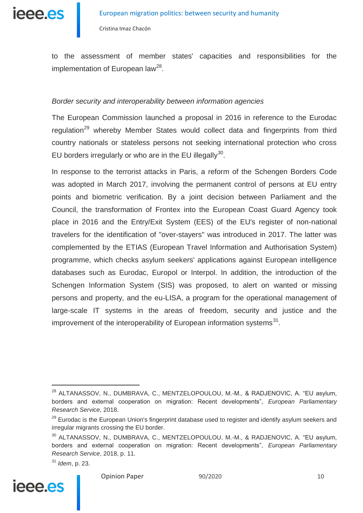

to the assessment of member states' capacities and responsibilities for the implementation of European law<sup>28</sup>.

#### *Border security and interoperability between information agencies*

The European Commission launched a proposal in 2016 in reference to the Eurodac regulation<sup>29</sup> whereby Member States would collect data and fingerprints from third country nationals or stateless persons not seeking international protection who cross EU borders irregularly or who are in the EU illegally $^{30}$ .

In response to the terrorist attacks in Paris, a reform of the Schengen Borders Code was adopted in March 2017, involving the permanent control of persons at EU entry points and biometric verification. By a joint decision between Parliament and the Council, the transformation of Frontex into the European Coast Guard Agency took place in 2016 and the Entry/Exit System (EES) of the EU's register of non-national travelers for the identification of "over-stayers" was introduced in 2017. The latter was complemented by the ETIAS (European Travel Information and Authorisation System) programme, which checks asylum seekers' applications against European intelligence databases such as Eurodac, Europol or Interpol. In addition, the introduction of the Schengen Information System (SIS) was proposed, to alert on wanted or missing persons and property, and the eu-LISA, a program for the operational management of large-scale IT systems in the areas of freedom, security and justice and the improvement of the interoperability of European information systems $^{31}$ .



<sup>&</sup>lt;sup>28</sup> ALTANASSOV, N., DUMBRAVA, C., MENTZELOPOULOU, M.-M., & RADJENOVIC, A. "EU asylum, borders and external cooperation on migration: Recent developments", *European Parliamentary Research Service,* 2018.

<sup>&</sup>lt;sup>29</sup> Eurodac is the European Union's fingerprint database used to register and identify asylum seekers and irregular migrants crossing the EU border.

<sup>30</sup> ALTANASSOV, N., DUMBRAVA, C., MENTZELOPOULOU, M.-M., & RADJENOVIC, A. "EU asylum, borders and external cooperation on migration: Recent developments", *European Parliamentary Research Service*, 2018, p. 11.

<sup>31</sup> *Idem*, p. 23.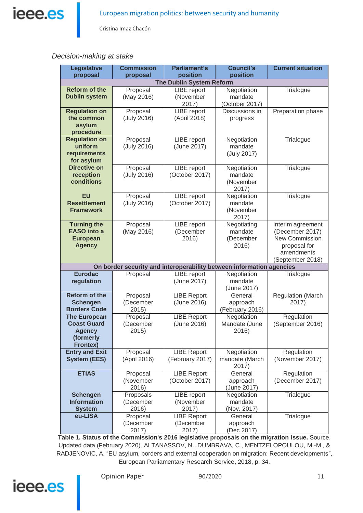

#### *Decision-making at stake*

| <b>Legislative</b><br>proposal                                                             | <b>Commission</b><br>proposal   | <b>Parliament's</b><br>position          | <b>Council's</b><br>position                 | <b>Current situation</b>                                                                                 |
|--------------------------------------------------------------------------------------------|---------------------------------|------------------------------------------|----------------------------------------------|----------------------------------------------------------------------------------------------------------|
| <b>The Dublin System Reform</b>                                                            |                                 |                                          |                                              |                                                                                                          |
| <b>Reform of the</b><br><b>Dublin system</b>                                               | Proposal<br>(May 2016)          | LIBE report<br>(November<br>2017)        | Negotiation<br>mandate<br>(October 2017)     | Trialogue                                                                                                |
| <b>Regulation on</b><br>the common<br>asylum<br>procedure                                  | Proposal<br>(July 2016)         | LIBE report<br>(April 2018)              | Discussions in<br>progress                   | Preparation phase                                                                                        |
| <b>Regulation on</b><br>uniform<br>requirements<br>for asylum                              | Proposal<br>(July 2016)         | LIBE report<br>(June 2017)               | Negotiation<br>mandate<br>(July 2017)        | Trialogue                                                                                                |
| <b>Directive on</b><br>reception<br>conditions                                             | Proposal<br>(July 2016)         | LIBE report<br>(October 2017)            | Negotiation<br>mandate<br>(November<br>2017) | Trialogue                                                                                                |
| <b>EU</b><br><b>Resettlement</b><br><b>Framework</b>                                       | Proposal<br>(July 2016)         | LIBE report<br>(October 2017)            | Negotiation<br>mandate<br>(November<br>2017) | Trialogue                                                                                                |
| <b>Turning the</b><br><b>EASO</b> into a<br><b>European</b><br><b>Agency</b>               | Proposal<br>(May 2016)          | LIBE report<br>(December<br>2016)        | Negotiating<br>mandate<br>(December<br>2016) | Interim agreement<br>(December 2017)<br>New Commission<br>proposal for<br>amendments<br>(September 2018) |
| On border security and interoperability between information agencies                       |                                 |                                          |                                              |                                                                                                          |
| <b>Eurodac</b><br>regulation                                                               | Proposal                        | LIBE report<br>(June 2017)               | Negotiation<br>mandate<br>(June 2017)        | Trialogue                                                                                                |
| <b>Reform of the</b><br><b>Schengen</b><br><b>Borders Code</b>                             | Proposal<br>(December<br>2015)  | <b>LIBE Report</b><br>(June 2016)        | General<br>approach<br>(February 2016)       | <b>Regulation (March</b><br>2017)                                                                        |
| <b>The European</b><br><b>Coast Guard</b><br><b>Agency</b><br>(formerly<br><b>Frontex)</b> | Proposal<br>(December<br>2015)  | <b>LIBE Report</b><br>(June 2016)        | Negotiation<br>Mandate (June<br>2016)        | Regulation<br>(September 2016)                                                                           |
| <b>Entry and Exit</b><br><b>System (EES)</b>                                               | Proposal<br>(April 2016)        | <b>LIBE Report</b><br>(February 2017)    | Negotiation<br>mandate (March<br>2017)       | Regulation<br>(November 2017)                                                                            |
| <b>ETIAS</b>                                                                               | Proposal<br>(November<br>2016)  | <b>LIBE Report</b><br>(October 2017)     | General<br>approach<br>(June 2017)           | Regulation<br>(December 2017)                                                                            |
| <b>Schengen</b><br><b>Information</b><br><b>System</b>                                     | Proposals<br>(December<br>2016) | LIBE report<br>(November<br>2017)        | Negotiation<br>mandate<br>(Nov. 2017)        | Trialogue                                                                                                |
| eu-LISA                                                                                    | Proposal<br>(December<br>2017)  | <b>LIBE Report</b><br>(December<br>2017) | General<br>approach<br>(Dec 2017)            | Trialogue                                                                                                |

**Table 1. Status of the Commission's 2016 legislative proposals on the migration issue.** Source. Updated data (February 2020). ALTANASSOV, N., DUMBRAVA, C., MENTZELOPOULOU, M.-M., & RADJENOVIC, A. "EU asylum, borders and external cooperation on migration: Recent developments", European Parliamentary Research Service, 2018, p. 34.

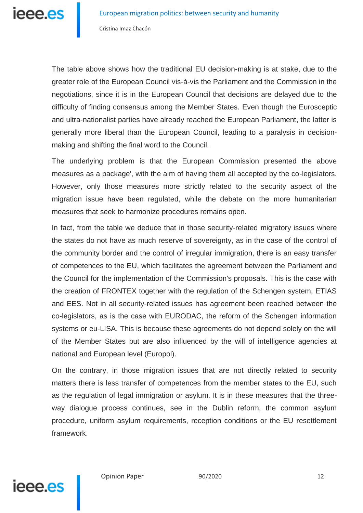The table above shows how the traditional EU decision-making is at stake, due to the greater role of the European Council vis-à-vis the Parliament and the Commission in the negotiations, since it is in the European Council that decisions are delayed due to the difficulty of finding consensus among the Member States. Even though the Eurosceptic and ultra-nationalist parties have already reached the European Parliament, the latter is generally more liberal than the European Council, leading to a paralysis in decisionmaking and shifting the final word to the Council.

The underlying problem is that the European Commission presented the above measures as a package', with the aim of having them all accepted by the co-legislators. However, only those measures more strictly related to the security aspect of the migration issue have been regulated, while the debate on the more humanitarian measures that seek to harmonize procedures remains open.

In fact, from the table we deduce that in those security-related migratory issues where the states do not have as much reserve of sovereignty, as in the case of the control of the community border and the control of irregular immigration, there is an easy transfer of competences to the EU, which facilitates the agreement between the Parliament and the Council for the implementation of the Commission's proposals. This is the case with the creation of FRONTEX together with the regulation of the Schengen system, ETIAS and EES. Not in all security-related issues has agreement been reached between the co-legislators, as is the case with EURODAC, the reform of the Schengen information systems or eu-LISA. This is because these agreements do not depend solely on the will of the Member States but are also influenced by the will of intelligence agencies at national and European level (Europol).

On the contrary, in those migration issues that are not directly related to security matters there is less transfer of competences from the member states to the EU, such as the regulation of legal immigration or asylum. It is in these measures that the threeway dialogue process continues, see in the Dublin reform, the common asylum procedure, uniform asylum requirements, reception conditions or the EU resettlement framework.

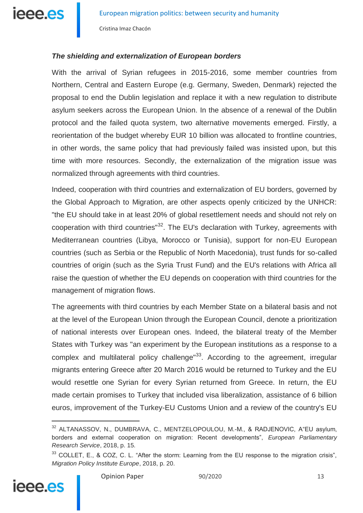

# *The shielding and externalization of European borders*

With the arrival of Syrian refugees in 2015-2016, some member countries from Northern, Central and Eastern Europe (e.g. Germany, Sweden, Denmark) rejected the proposal to end the Dublin legislation and replace it with a new regulation to distribute asylum seekers across the European Union. In the absence of a renewal of the Dublin protocol and the failed quota system, two alternative movements emerged. Firstly, a reorientation of the budget whereby EUR 10 billion was allocated to frontline countries, in other words, the same policy that had previously failed was insisted upon, but this time with more resources. Secondly, the externalization of the migration issue was normalized through agreements with third countries.

Indeed, cooperation with third countries and externalization of EU borders, governed by the Global Approach to Migration, are other aspects openly criticized by the UNHCR: "the EU should take in at least 20% of global resettlement needs and should not rely on cooperation with third countries<sup>"32</sup>. The EU's declaration with Turkey, agreements with Mediterranean countries (Libya, Morocco or Tunisia), support for non-EU European countries (such as Serbia or the Republic of North Macedonia), trust funds for so-called countries of origin (such as the Syria Trust Fund) and the EU's relations with Africa all raise the question of whether the EU depends on cooperation with third countries for the management of migration flows.

The agreements with third countries by each Member State on a bilateral basis and not at the level of the European Union through the European Council, denote a prioritization of national interests over European ones. Indeed, the bilateral treaty of the Member States with Turkey was "an experiment by the European institutions as a response to a complex and multilateral policy challenge<sup>"33</sup>. According to the agreement, irregular migrants entering Greece after 20 March 2016 would be returned to Turkey and the EU would resettle one Syrian for every Syrian returned from Greece. In return, the EU made certain promises to Turkey that included visa liberalization, assistance of 6 billion euros, improvement of the Turkey-EU Customs Union and a review of the country's EU

<sup>33</sup> COLLET, E., & COZ, C. L. "After the storm: Learning from the EU response to the migration crisis", *Migration Policy Institute Europe*, 2018, p. 20.



<sup>&</sup>lt;sup>32</sup> ALTANASSOV, N., DUMBRAVA, C., MENTZELOPOULOU, M.-M., & RADJENOVIC, A"EU asylum, borders and external cooperation on migration: Recent developments", *European Parliamentary Research Service*, 2018, p. 15.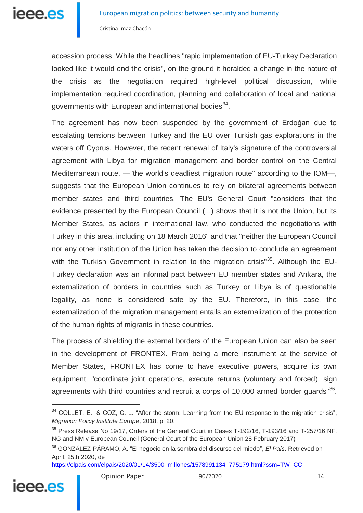accession process. While the headlines "rapid implementation of EU-Turkey Declaration looked like it would end the crisis", on the ground it heralded a change in the nature of the crisis as the negotiation required high-level political discussion, while implementation required coordination, planning and collaboration of local and national governments with European and international bodies<sup>34</sup>.

The agreement has now been suspended by the government of Erdoğan due to escalating tensions between Turkey and the EU over Turkish gas explorations in the waters off Cyprus. However, the recent renewal of Italy's signature of the controversial agreement with Libya for migration management and border control on the Central Mediterranean route, —"the world's deadliest migration route" according to the IOM—, suggests that the European Union continues to rely on bilateral agreements between member states and third countries. The EU's General Court "considers that the evidence presented by the European Council (...) shows that it is not the Union, but its Member States, as actors in international law, who conducted the negotiations with Turkey in this area, including on 18 March 2016" and that "neither the European Council nor any other institution of the Union has taken the decision to conclude an agreement with the Turkish Government in relation to the migration crisis<sup>"35</sup>. Although the EU-Turkey declaration was an informal pact between EU member states and Ankara, the externalization of borders in countries such as Turkey or Libya is of questionable legality, as none is considered safe by the EU. Therefore, in this case, the externalization of the migration management entails an externalization of the protection of the human rights of migrants in these countries.

The process of shielding the external borders of the European Union can also be seen in the development of FRONTEX. From being a mere instrument at the service of Member States, FRONTEX has come to have executive powers, acquire its own equipment, "coordinate joint operations, execute returns (voluntary and forced), sign agreements with third countries and recruit a corps of 10,000 armed border guards"<sup>36</sup>.

[https://elpais.com/elpais/2020/01/14/3500\\_millones/1578991134\\_775179.html?ssm=TW\\_CC](https://elpais.com/elpais/2020/01/14/3500_millones/1578991134_775179.html?ssm=TW_CC)



<sup>&</sup>lt;sup>34</sup> COLLET, E., & COZ, C. L. "After the storm: Learning from the EU response to the migration crisis", *Migration Policy Institute Europe*, 2018, p. 20.

 $35$  Press Release No 19/17, Orders of the General Court in Cases T-192/16, T-193/16 and T-257/16 NF, NG and NM v European Council (General Court of the European Union 28 February 2017)

<sup>36</sup> GONZÁLEZ-PÁRAMO, A. "El negocio en la sombra del discurso del miedo", *El País*. Retrieved on April, 25th 2020, de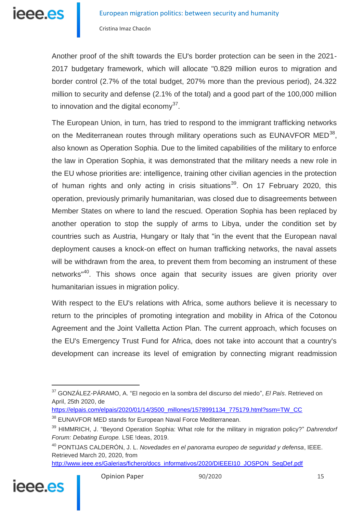ieee.es

Cristina Imaz Chacón

Another proof of the shift towards the EU's border protection can be seen in the 2021- 2017 budgetary framework, which will allocate "0.829 million euros to migration and border control (2.7% of the total budget, 207% more than the previous period), 24.322 million to security and defense (2.1% of the total) and a good part of the 100,000 million to innovation and the digital economy $37$ .

The European Union, in turn, has tried to respond to the immigrant trafficking networks on the Mediterranean routes through military operations such as EUNAVFOR MED $^{38}$ , also known as Operation Sophia. Due to the limited capabilities of the military to enforce the law in Operation Sophia, it was demonstrated that the military needs a new role in the EU whose priorities are: intelligence, training other civilian agencies in the protection of human rights and only acting in crisis situations<sup>39</sup>. On 17 February 2020, this operation, previously primarily humanitarian, was closed due to disagreements between Member States on where to land the rescued. Operation Sophia has been replaced by another operation to stop the supply of arms to Libya, under the condition set by countries such as Austria, Hungary or Italy that "in the event that the European naval deployment causes a knock-on effect on human trafficking networks, the naval assets will be withdrawn from the area, to prevent them from becoming an instrument of these networks<sup>"40</sup>. This shows once again that security issues are given priority over humanitarian issues in migration policy.

With respect to the EU's relations with Africa, some authors believe it is necessary to return to the principles of promoting integration and mobility in Africa of the Cotonou Agreement and the Joint Valletta Action Plan. The current approach, which focuses on the EU's Emergency Trust Fund for Africa, does not take into account that a country's development can increase its level of emigration by connecting migrant readmission

[http://www.ieee.es/Galerias/fichero/docs\\_informativos/2020/DIEEEI10\\_JOSPON\\_SegDef.pdf](http://www.ieee.es/Galerias/fichero/docs_informativos/2020/DIEEEI10_JOSPON_SegDef.pdf)



<sup>37</sup> GONZÁLEZ-PÁRAMO, A. "El negocio en la sombra del discurso del miedo", *El País*. Retrieved on April, 25th 2020, de

[https://elpais.com/elpais/2020/01/14/3500\\_millones/1578991134\\_775179.html?ssm=TW\\_CC](https://elpais.com/elpais/2020/01/14/3500_millones/1578991134_775179.html?ssm=TW_CC)

<sup>38</sup> EUNAVFOR MED stands for European Naval Force Mediterranean.

<sup>39</sup> HIMMRICH, J. "Beyond Operation Sophia: What role for the military in migration policy?" *Dahrendorf Forum: Debating Europe.* LSE !deas, 2019.

<sup>40</sup> PONTIJAS CALDERÓN, J. L. *Novedades en el panorama europeo de seguridad y defensa*, IEEE. Retrieved March 20, 2020, from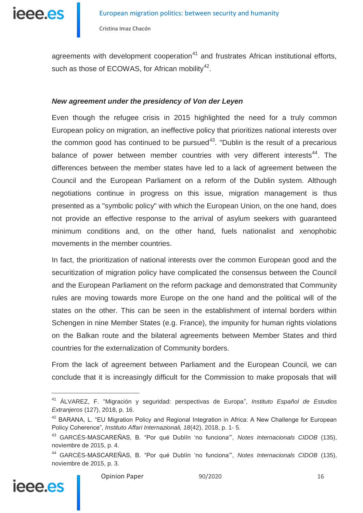

agreements with development cooperation<sup>41</sup> and frustrates African institutional efforts, such as those of ECOWAS, for African mobility $42$ .

#### *New agreement under the presidency of Von der Leyen*

Even though the refugee crisis in 2015 highlighted the need for a truly common European policy on migration, an ineffective policy that prioritizes national interests over the common good has continued to be pursued<sup>43</sup>. "Dublin is the result of a precarious balance of power between member countries with very different interests<sup>44</sup>. The differences between the member states have led to a lack of agreement between the Council and the European Parliament on a reform of the Dublin system. Although negotiations continue in progress on this issue, migration management is thus presented as a "symbolic policy" with which the European Union, on the one hand, does not provide an effective response to the arrival of asylum seekers with guaranteed minimum conditions and, on the other hand, fuels nationalist and xenophobic movements in the member countries.

In fact, the prioritization of national interests over the common European good and the securitization of migration policy have complicated the consensus between the Council and the European Parliament on the reform package and demonstrated that Community rules are moving towards more Europe on the one hand and the political will of the states on the other. This can be seen in the establishment of internal borders within Schengen in nine Member States (e.g. France), the impunity for human rights violations on the Balkan route and the bilateral agreements between Member States and third countries for the externalization of Community borders.

From the lack of agreement between Parliament and the European Council, we can conclude that it is increasingly difficult for the Commission to make proposals that will

<sup>44</sup> GARCÉS-MASCAREÑAS, B. "Por qué Dublín 'no funciona'", *Notes Internacionals CIDOB* (135), noviembre de 2015, p. 3.



<sup>41</sup> ÁLVAREZ, F. "Migración y seguridad: perspectivas de Europa", *Instituto Español de Estudios Extranjeros* (127), 2018, p. 16.

<sup>&</sup>lt;sup>42</sup> BARANA, L. "EU Migration Policy and Regional Integration in Africa: A New Challenge for European Policy Coherence", *Instituto Affari Internazionali, 18*(42), 2018, p. 1- 5.

<sup>43</sup> GARCÉS-MASCAREÑAS, B. "Por qué Dublín 'no funciona'", *Notes Internacionals CIDOB* (135), noviembre de 2015, p. 4.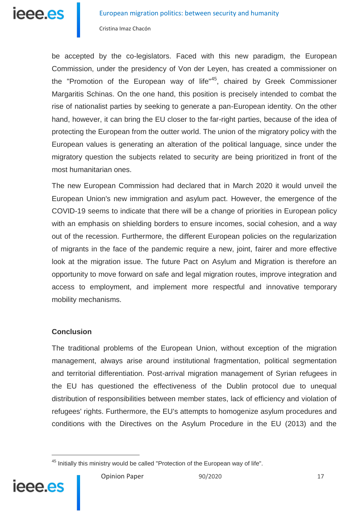

be accepted by the co-legislators. Faced with this new paradigm, the European Commission, under the presidency of Von der Leyen, has created a commissioner on the "Promotion of the European way of life"<sup>45</sup>, chaired by Greek Commissioner Margaritis Schinas. On the one hand, this position is precisely intended to combat the rise of nationalist parties by seeking to generate a pan-European identity. On the other hand, however, it can bring the EU closer to the far-right parties, because of the idea of protecting the European from the outter world. The union of the migratory policy with the European values is generating an alteration of the political language, since under the migratory question the subjects related to security are being prioritized in front of the most humanitarian ones.

The new European Commission had declared that in March 2020 it would unveil the European Union's new immigration and asylum pact. However, the emergence of the COVID-19 seems to indicate that there will be a change of priorities in European policy with an emphasis on shielding borders to ensure incomes, social cohesion, and a way out of the recession. Furthermore, the different European policies on the regularization of migrants in the face of the pandemic require a new, joint, fairer and more effective look at the migration issue. The future Pact on Asylum and Migration is therefore an opportunity to move forward on safe and legal migration routes, improve integration and access to employment, and implement more respectful and innovative temporary mobility mechanisms.

#### **Conclusion**

 $\overline{a}$ 

ieee.es

The traditional problems of the European Union, without exception of the migration management, always arise around institutional fragmentation, political segmentation and territorial differentiation. Post-arrival migration management of Syrian refugees in the EU has questioned the effectiveness of the Dublin protocol due to unequal distribution of responsibilities between member states, lack of efficiency and violation of refugees' rights. Furthermore, the EU's attempts to homogenize asylum procedures and conditions with the Directives on the Asylum Procedure in the EU (2013) and the

<sup>&</sup>lt;sup>45</sup> Initially this ministry would be called "Protection of the European way of life".